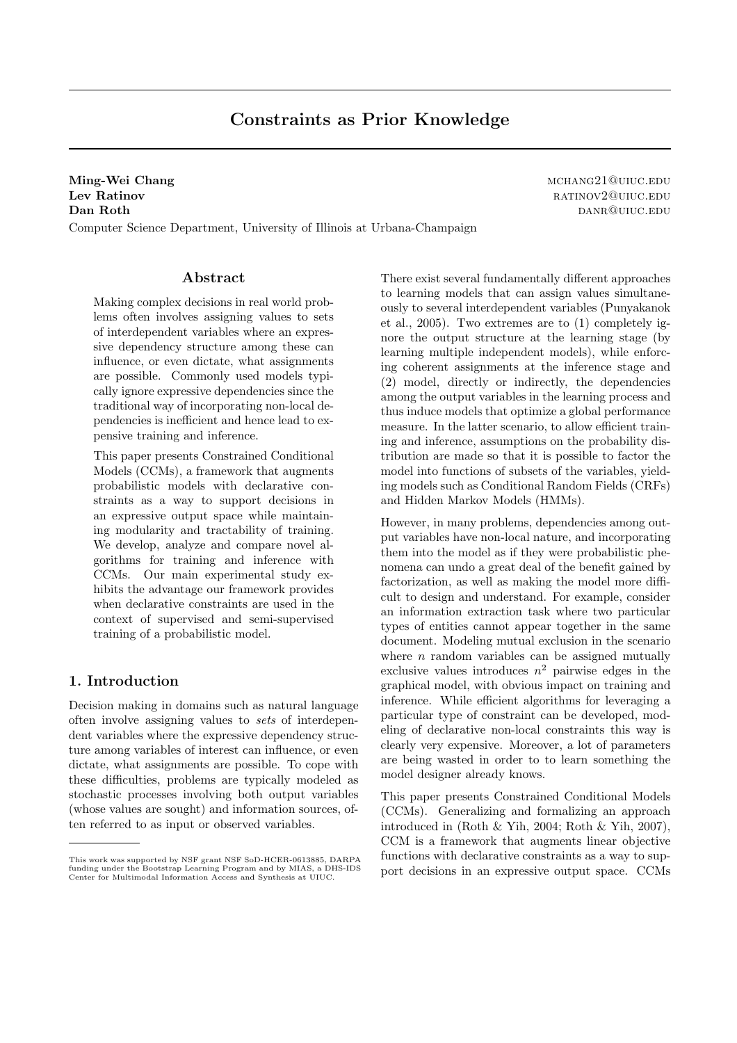# Constraints as Prior Knowledge

Ming-Wei Chang material methods and the material methods of the material methods of  $\mu$  mchang21@uiuc.edu **Lev Ratinov RATINOV2@UIUC.EDU Dan Roth** danram and the settlement of the settlement of the dance of the dance of the dance of the dance of the dance of the dance of the dance of the dance of the dance of the dance of the dance of the dance of the danc

Computer Science Department, University of Illinois at Urbana-Champaign

### Abstract

Making complex decisions in real world problems often involves assigning values to sets of interdependent variables where an expressive dependency structure among these can influence, or even dictate, what assignments are possible. Commonly used models typically ignore expressive dependencies since the traditional way of incorporating non-local dependencies is inefficient and hence lead to expensive training and inference.

This paper presents Constrained Conditional Models (CCMs), a framework that augments probabilistic models with declarative constraints as a way to support decisions in an expressive output space while maintaining modularity and tractability of training. We develop, analyze and compare novel algorithms for training and inference with CCMs. Our main experimental study exhibits the advantage our framework provides when declarative constraints are used in the context of supervised and semi-supervised training of a probabilistic model.

### 1. Introduction

Decision making in domains such as natural language often involve assigning values to sets of interdependent variables where the expressive dependency structure among variables of interest can influence, or even dictate, what assignments are possible. To cope with these difficulties, problems are typically modeled as stochastic processes involving both output variables (whose values are sought) and information sources, often referred to as input or observed variables.

There exist several fundamentally different approaches to learning models that can assign values simultaneously to several interdependent variables (Punyakanok et al., 2005). Two extremes are to (1) completely ignore the output structure at the learning stage (by learning multiple independent models), while enforcing coherent assignments at the inference stage and (2) model, directly or indirectly, the dependencies among the output variables in the learning process and thus induce models that optimize a global performance measure. In the latter scenario, to allow efficient training and inference, assumptions on the probability distribution are made so that it is possible to factor the model into functions of subsets of the variables, yielding models such as Conditional Random Fields (CRFs) and Hidden Markov Models (HMMs).

However, in many problems, dependencies among output variables have non-local nature, and incorporating them into the model as if they were probabilistic phenomena can undo a great deal of the benefit gained by factorization, as well as making the model more difficult to design and understand. For example, consider an information extraction task where two particular types of entities cannot appear together in the same document. Modeling mutual exclusion in the scenario where  $n$  random variables can be assigned mutually exclusive values introduces  $n^2$  pairwise edges in the graphical model, with obvious impact on training and inference. While efficient algorithms for leveraging a particular type of constraint can be developed, modeling of declarative non-local constraints this way is clearly very expensive. Moreover, a lot of parameters are being wasted in order to to learn something the model designer already knows.

This paper presents Constrained Conditional Models (CCMs). Generalizing and formalizing an approach introduced in (Roth & Yih, 2004; Roth & Yih, 2007), CCM is a framework that augments linear objective functions with declarative constraints as a way to support decisions in an expressive output space. CCMs

This work was supported by NSF grant NSF SoD-HCER-0613885, DARPA funding under the Bootstrap Learning Program and by MIAS, a DHS-IDS Center for Multimodal Information Access and Synthesis at UIUC.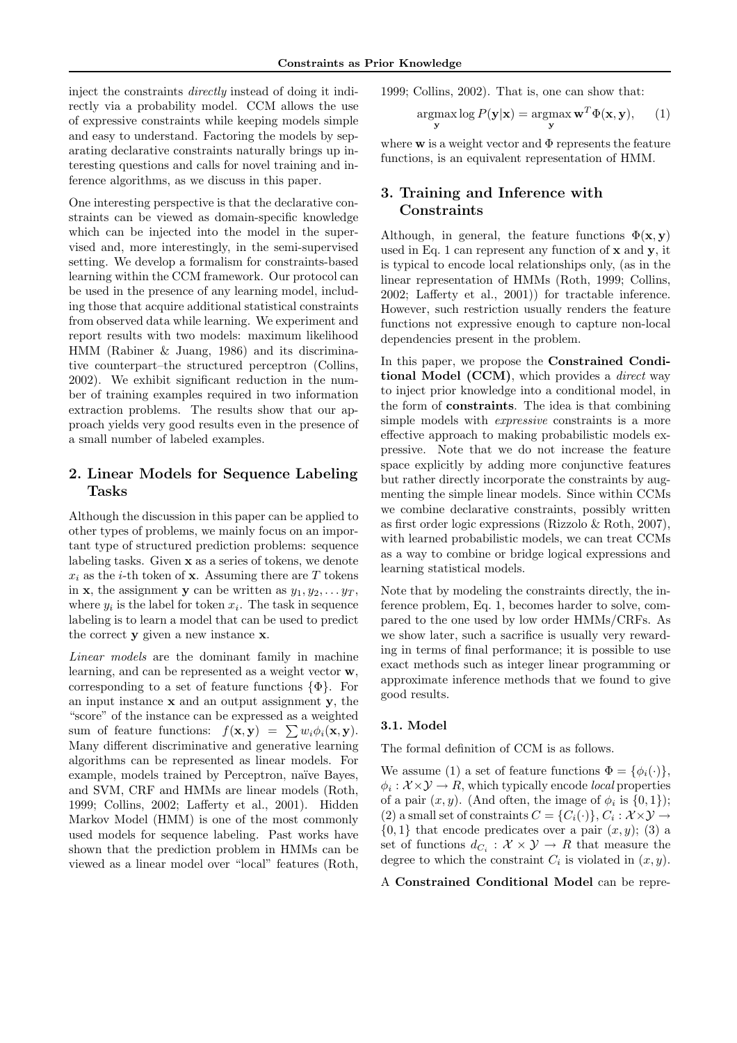inject the constraints directly instead of doing it indirectly via a probability model. CCM allows the use of expressive constraints while keeping models simple and easy to understand. Factoring the models by separating declarative constraints naturally brings up interesting questions and calls for novel training and inference algorithms, as we discuss in this paper.

One interesting perspective is that the declarative constraints can be viewed as domain-specific knowledge which can be injected into the model in the supervised and, more interestingly, in the semi-supervised setting. We develop a formalism for constraints-based learning within the CCM framework. Our protocol can be used in the presence of any learning model, including those that acquire additional statistical constraints from observed data while learning. We experiment and report results with two models: maximum likelihood HMM (Rabiner & Juang, 1986) and its discriminative counterpart–the structured perceptron (Collins, 2002). We exhibit significant reduction in the number of training examples required in two information extraction problems. The results show that our approach yields very good results even in the presence of a small number of labeled examples.

## 2. Linear Models for Sequence Labeling Tasks

Although the discussion in this paper can be applied to other types of problems, we mainly focus on an important type of structured prediction problems: sequence labeling tasks. Given x as a series of tokens, we denote  $x_i$  as the *i*-th token of **x**. Assuming there are T tokens in **x**, the assignment **y** can be written as  $y_1, y_2, \ldots y_T$ , where  $y_i$  is the label for token  $x_i$ . The task in sequence labeling is to learn a model that can be used to predict the correct y given a new instance x.

Linear models are the dominant family in machine learning, and can be represented as a weight vector w, corresponding to a set of feature functions  $\{\Phi\}$ . For an input instance  $x$  and an output assignment  $y$ , the "score" of the instance can be expressed as a weighted sum of feature functions:  $f(\mathbf{x}, \mathbf{y}) = \sum w_i \phi_i(\mathbf{x}, \mathbf{y}).$ Many different discriminative and generative learning algorithms can be represented as linear models. For example, models trained by Perceptron, naïve Bayes, and SVM, CRF and HMMs are linear models (Roth, 1999; Collins, 2002; Lafferty et al., 2001). Hidden Markov Model (HMM) is one of the most commonly used models for sequence labeling. Past works have shown that the prediction problem in HMMs can be viewed as a linear model over "local" features (Roth,

1999; Collins, 2002). That is, one can show that:

$$
\underset{\mathbf{y}}{\operatorname{argmax}} \log P(\mathbf{y}|\mathbf{x}) = \underset{\mathbf{y}}{\operatorname{argmax}} \mathbf{w}^T \Phi(\mathbf{x}, \mathbf{y}), \qquad (1)
$$

where  $w$  is a weight vector and  $\Phi$  represents the feature functions, is an equivalent representation of HMM.

# 3. Training and Inference with Constraints

Although, in general, the feature functions  $\Phi(\mathbf{x}, \mathbf{y})$ used in Eq. 1 can represent any function of x and y, it is typical to encode local relationships only, (as in the linear representation of HMMs (Roth, 1999; Collins, 2002; Lafferty et al., 2001)) for tractable inference. However, such restriction usually renders the feature functions not expressive enough to capture non-local dependencies present in the problem.

In this paper, we propose the Constrained Conditional Model (CCM), which provides a *direct* way to inject prior knowledge into a conditional model, in the form of constraints. The idea is that combining simple models with *expressive* constraints is a more effective approach to making probabilistic models expressive. Note that we do not increase the feature space explicitly by adding more conjunctive features but rather directly incorporate the constraints by augmenting the simple linear models. Since within CCMs we combine declarative constraints, possibly written as first order logic expressions (Rizzolo & Roth, 2007), with learned probabilistic models, we can treat CCMs as a way to combine or bridge logical expressions and learning statistical models.

Note that by modeling the constraints directly, the inference problem, Eq. 1, becomes harder to solve, compared to the one used by low order HMMs/CRFs. As we show later, such a sacrifice is usually very rewarding in terms of final performance; it is possible to use exact methods such as integer linear programming or approximate inference methods that we found to give good results.

#### 3.1. Model

The formal definition of CCM is as follows.

We assume (1) a set of feature functions  $\Phi = {\phi_i(\cdot)}$ ,  $\phi_i: \mathcal{X} \times \mathcal{Y} \to R$ , which typically encode *local* properties of a pair  $(x, y)$ . (And often, the image of  $\phi_i$  is  $\{0, 1\}$ ); (2) a small set of constraints  $C = \{C_i(\cdot)\}, C_i : \mathcal{X} \times \mathcal{Y} \rightarrow$  $\{0,1\}$  that encode predicates over a pair  $(x, y)$ ; (3) a set of functions  $d_{C_i}: \mathcal{X} \times \mathcal{Y} \to R$  that measure the degree to which the constraint  $C_i$  is violated in  $(x, y)$ .

A Constrained Conditional Model can be repre-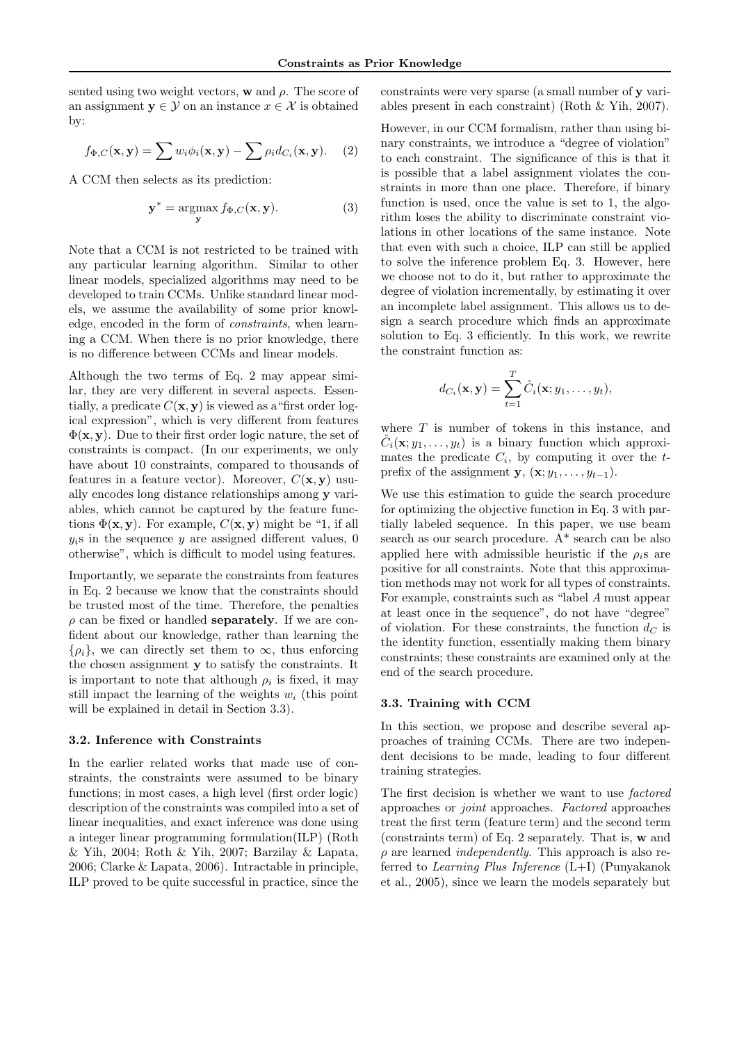sented using two weight vectors,  $\bf{w}$  and  $\rho$ . The score of an assignment  $y \in \mathcal{Y}$  on an instance  $x \in \mathcal{X}$  is obtained by:

$$
f_{\Phi,C}(\mathbf{x}, \mathbf{y}) = \sum w_i \phi_i(\mathbf{x}, \mathbf{y}) - \sum \rho_i d_{C_i}(\mathbf{x}, \mathbf{y}). \tag{2}
$$

A CCM then selects as its prediction:

$$
\mathbf{y}^* = \underset{\mathbf{y}}{\operatorname{argmax}} f_{\Phi,C}(\mathbf{x}, \mathbf{y}). \tag{3}
$$

Note that a CCM is not restricted to be trained with any particular learning algorithm. Similar to other linear models, specialized algorithms may need to be developed to train CCMs. Unlike standard linear models, we assume the availability of some prior knowledge, encoded in the form of constraints, when learning a CCM. When there is no prior knowledge, there is no difference between CCMs and linear models.

Although the two terms of Eq. 2 may appear similar, they are very different in several aspects. Essentially, a predicate  $C(\mathbf{x}, \mathbf{y})$  is viewed as a "first order logical expression", which is very different from features  $\Phi(\mathbf{x}, \mathbf{y})$ . Due to their first order logic nature, the set of constraints is compact. (In our experiments, we only have about 10 constraints, compared to thousands of features in a feature vector). Moreover,  $C(\mathbf{x}, \mathbf{y})$  usually encodes long distance relationships among y variables, which cannot be captured by the feature functions  $\Phi(\mathbf{x}, \mathbf{y})$ . For example,  $C(\mathbf{x}, \mathbf{y})$  might be "1, if all  $y_i$ s in the sequence y are assigned different values, 0 otherwise", which is difficult to model using features.

Importantly, we separate the constraints from features in Eq. 2 because we know that the constraints should be trusted most of the time. Therefore, the penalties  $\rho$  can be fixed or handled **separately**. If we are confident about our knowledge, rather than learning the  $\{\rho_i\}$ , we can directly set them to  $\infty$ , thus enforcing the chosen assignment y to satisfy the constraints. It is important to note that although  $\rho_i$  is fixed, it may still impact the learning of the weights  $w_i$  (this point will be explained in detail in Section 3.3).

#### 3.2. Inference with Constraints

In the earlier related works that made use of constraints, the constraints were assumed to be binary functions; in most cases, a high level (first order logic) description of the constraints was compiled into a set of linear inequalities, and exact inference was done using a integer linear programming formulation(ILP) (Roth & Yih, 2004; Roth & Yih, 2007; Barzilay & Lapata, 2006; Clarke & Lapata, 2006). Intractable in principle, ILP proved to be quite successful in practice, since the constraints were very sparse (a small number of y variables present in each constraint) (Roth & Yih, 2007).

However, in our CCM formalism, rather than using binary constraints, we introduce a "degree of violation" to each constraint. The significance of this is that it is possible that a label assignment violates the constraints in more than one place. Therefore, if binary function is used, once the value is set to 1, the algorithm loses the ability to discriminate constraint violations in other locations of the same instance. Note that even with such a choice, ILP can still be applied to solve the inference problem Eq. 3. However, here we choose not to do it, but rather to approximate the degree of violation incrementally, by estimating it over an incomplete label assignment. This allows us to design a search procedure which finds an approximate solution to Eq. 3 efficiently. In this work, we rewrite the constraint function as:

$$
d_{C_i}(\mathbf{x}, \mathbf{y}) = \sum_{t=1}^T \hat{C}_i(\mathbf{x}; y_1, \dots, y_t),
$$

where  $T$  is number of tokens in this instance, and  $\hat{C}_i(\mathbf{x}; y_1, \dots, y_t)$  is a binary function which approximates the predicate  $C_i$ , by computing it over the  $t$ prefix of the assignment  $\mathbf{y}, (\mathbf{x}; y_1, \ldots, y_{t-1}).$ 

We use this estimation to guide the search procedure for optimizing the objective function in Eq. 3 with partially labeled sequence. In this paper, we use beam search as our search procedure. A\* search can be also applied here with admissible heuristic if the  $\rho_i$ s are positive for all constraints. Note that this approximation methods may not work for all types of constraints. For example, constraints such as "label A must appear at least once in the sequence", do not have "degree" of violation. For these constraints, the function  $d_C$  is the identity function, essentially making them binary constraints; these constraints are examined only at the end of the search procedure.

#### 3.3. Training with CCM

In this section, we propose and describe several approaches of training CCMs. There are two independent decisions to be made, leading to four different training strategies.

The first decision is whether we want to use factored approaches or joint approaches. Factored approaches treat the first term (feature term) and the second term (constraints term) of Eq. 2 separately. That is, w and  $\rho$  are learned *independently*. This approach is also referred to *Learning Plus Inference*  $(L+I)$  (Punyakanok et al., 2005), since we learn the models separately but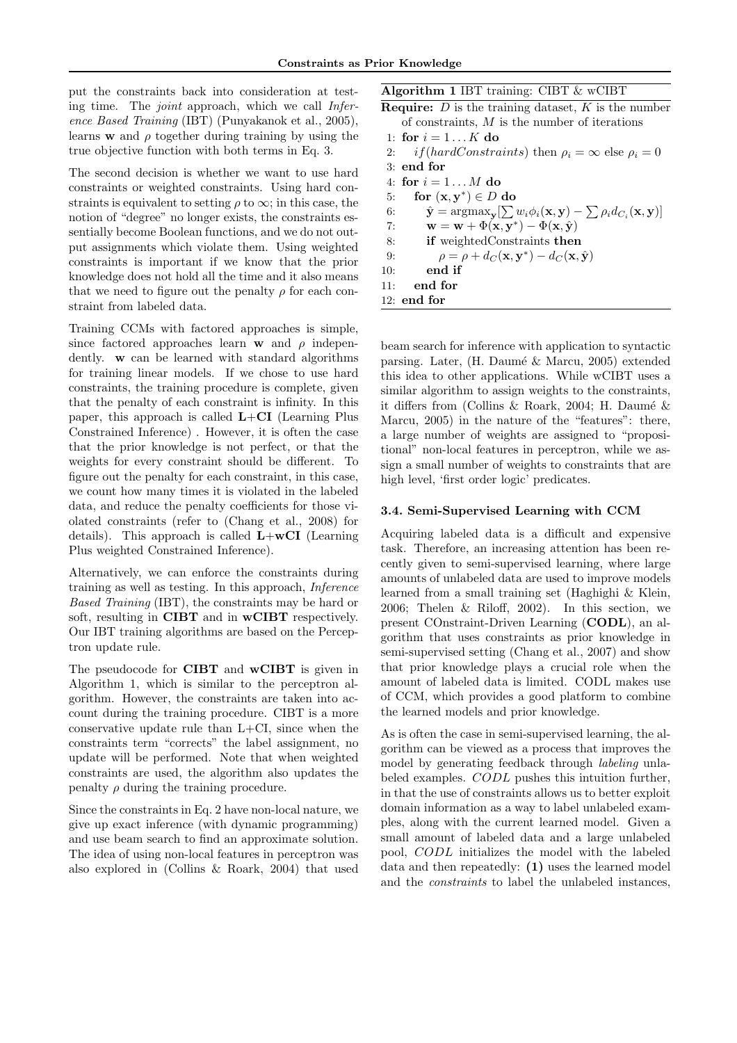put the constraints back into consideration at testing time. The joint approach, which we call Inference Based Training (IBT) (Punyakanok et al., 2005), learns **w** and  $\rho$  together during training by using the true objective function with both terms in Eq. 3.

The second decision is whether we want to use hard constraints or weighted constraints. Using hard constraints is equivalent to setting  $\rho$  to  $\infty$ ; in this case, the notion of "degree" no longer exists, the constraints essentially become Boolean functions, and we do not output assignments which violate them. Using weighted constraints is important if we know that the prior knowledge does not hold all the time and it also means that we need to figure out the penalty  $\rho$  for each constraint from labeled data.

Training CCMs with factored approaches is simple, since factored approaches learn **w** and  $\rho$  independently. w can be learned with standard algorithms for training linear models. If we chose to use hard constraints, the training procedure is complete, given that the penalty of each constraint is infinity. In this paper, this approach is called  $L+CI$  (Learning Plus Constrained Inference) . However, it is often the case that the prior knowledge is not perfect, or that the weights for every constraint should be different. To figure out the penalty for each constraint, in this case, we count how many times it is violated in the labeled data, and reduce the penalty coefficients for those violated constraints (refer to (Chang et al., 2008) for details). This approach is called  $L+wCI$  (Learning Plus weighted Constrained Inference).

Alternatively, we can enforce the constraints during training as well as testing. In this approach, Inference Based Training (IBT), the constraints may be hard or soft, resulting in CIBT and in wCIBT respectively. Our IBT training algorithms are based on the Perceptron update rule.

The pseudocode for CIBT and wCIBT is given in Algorithm 1, which is similar to the perceptron algorithm. However, the constraints are taken into account during the training procedure. CIBT is a more conservative update rule than  $L+C$ I, since when the constraints term "corrects" the label assignment, no update will be performed. Note that when weighted constraints are used, the algorithm also updates the penalty  $\rho$  during the training procedure.

Since the constraints in Eq. 2 have non-local nature, we give up exact inference (with dynamic programming) and use beam search to find an approximate solution. The idea of using non-local features in perceptron was also explored in (Collins & Roark, 2004) that used Algorithm 1 IBT training: CIBT & wCIBT

**Require:**  $D$  is the training dataset,  $K$  is the number of constraints, M is the number of iterations

- 1: for  $i = 1...K$  do
- 2: if(hardConstraints) then  $\rho_i = \infty$  else  $\rho_i = 0$
- 3: end for 4: for  $i = 1 \dots M$  do
- 5: for  $(\mathbf{x}, \mathbf{y}^*) \in D$  do 6:  $\hat{\mathbf{y}} = \operatorname{argmax}_{\mathbf{y}} \left[ \sum w_i \phi_i(\mathbf{x}, \mathbf{y}) - \sum \rho_i d_{C_i}(\mathbf{x}, \mathbf{y}) \right]$ 7:  $\mathbf{w} = \mathbf{w} + \Phi(\mathbf{x}, \mathbf{y}^*) - \Phi(\mathbf{x}, \hat{\mathbf{y}})$ 8: if weightedConstraints then 9:  $\rho = \rho + d_C(\mathbf{x}, \mathbf{y}^*) - d_C(\mathbf{x}, \hat{\mathbf{y}})$ 10: end if 11: end for 12: end for

beam search for inference with application to syntactic parsing. Later, (H. Daumé & Marcu, 2005) extended this idea to other applications. While wCIBT uses a similar algorithm to assign weights to the constraints, it differs from (Collins & Roark, 2004; H. Daumé  $\&$ Marcu, 2005) in the nature of the "features": there, a large number of weights are assigned to "propositional" non-local features in perceptron, while we assign a small number of weights to constraints that are high level, 'first order logic' predicates.

#### 3.4. Semi-Supervised Learning with CCM

Acquiring labeled data is a difficult and expensive task. Therefore, an increasing attention has been recently given to semi-supervised learning, where large amounts of unlabeled data are used to improve models learned from a small training set (Haghighi & Klein, 2006; Thelen & Riloff, 2002). In this section, we present COnstraint-Driven Learning (CODL), an algorithm that uses constraints as prior knowledge in semi-supervised setting (Chang et al., 2007) and show that prior knowledge plays a crucial role when the amount of labeled data is limited. CODL makes use of CCM, which provides a good platform to combine the learned models and prior knowledge.

As is often the case in semi-supervised learning, the algorithm can be viewed as a process that improves the model by generating feedback through labeling unlabeled examples. CODL pushes this intuition further, in that the use of constraints allows us to better exploit domain information as a way to label unlabeled examples, along with the current learned model. Given a small amount of labeled data and a large unlabeled pool, CODL initializes the model with the labeled data and then repeatedly: (1) uses the learned model and the constraints to label the unlabeled instances,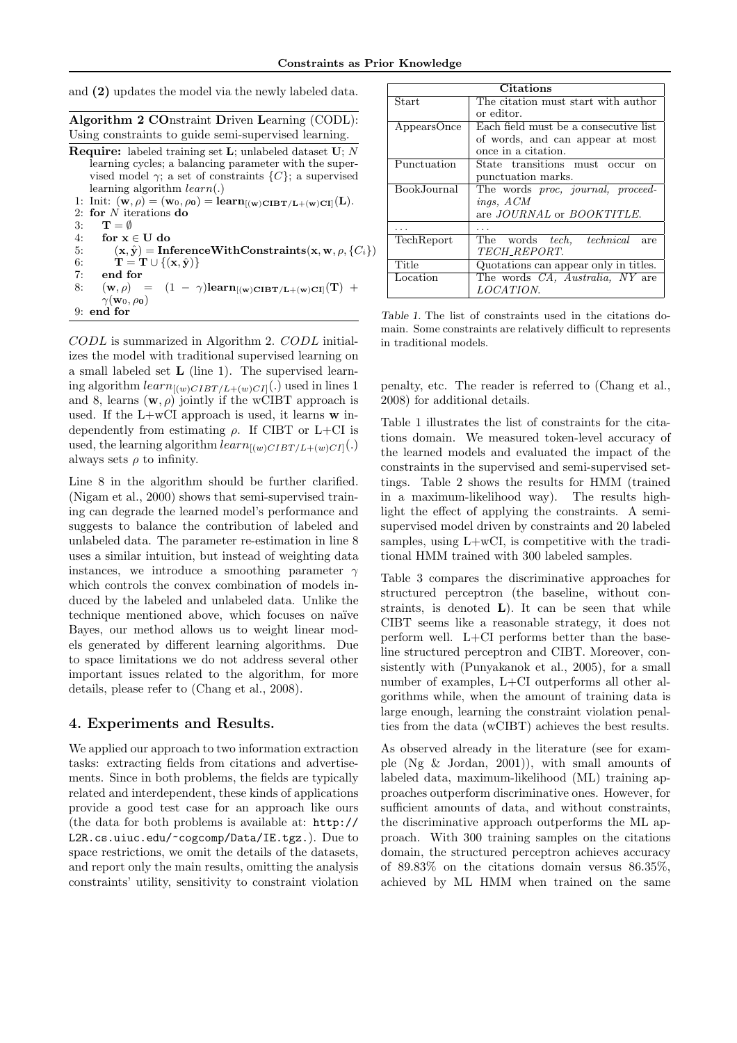and (2) updates the model via the newly labeled data.

| Algorithm 2 COnstraint Driven Learning (CODL):       |  |  |
|------------------------------------------------------|--|--|
| Using constraints to guide semi-supervised learning. |  |  |

**Require:** labeled training set  $\mathbf{L}$ ; unlabeled dataset  $\mathbf{U}$ ; N learning cycles; a balancing parameter with the supervised model  $\gamma$ ; a set of constraints  $\{C\}$ ; a supervised learning algorithm learn(.) 1: Init:  $(\mathbf{w}, \rho) = (\mathbf{w}_0, \rho_0) = \mathbf{learn}_{[(\mathbf{w})\mathbf{CIBT/L} + (\mathbf{w})\mathbf{CI}]}(\mathbf{L}).$ 2: for  $N$  iterations do 3:  $\mathbf{T} = \emptyset$ 4: for  $x \in U$  do 5:  $(x, \hat{y})$  = InferenceWithConstraints(x, w,  $\rho$ , {C<sub>i</sub>}) 6:  $\mathbf{T} = \mathbf{T} \cup \{(\mathbf{x}, \hat{\mathbf{y}})\}\$ 7: end for 8:  $(\mathbf{w}, \rho) = (1 - \gamma) \mathbf{learn}_{[(\mathbf{w})\mathbf{CIBT}/\mathbf{L} + (\mathbf{w})\mathbf{CI}]}(\mathbf{T}) +$  $\gamma(\mathbf{w}_0, \rho_0)$ 9: end for

CODL is summarized in Algorithm 2. CODL initializes the model with traditional supervised learning on a small labeled set L (line 1). The supervised learning algorithm  $learn_{[(w)CIBT/L+(w)CI]}(.)$  used in lines 1 and 8, learns  $(\mathbf{w}, \rho)$  jointly if the wCIBT approach is used. If the  $L+wCI$  approach is used, it learns  $w$  independently from estimating  $\rho$ . If CIBT or L+CI is used, the learning algorithm  $learn_{[(w)CIBT/L+(w)CI]}(.)$ always sets  $\rho$  to infinity.

Line 8 in the algorithm should be further clarified. (Nigam et al., 2000) shows that semi-supervised training can degrade the learned model's performance and suggests to balance the contribution of labeled and unlabeled data. The parameter re-estimation in line 8 uses a similar intuition, but instead of weighting data instances, we introduce a smoothing parameter  $\gamma$ which controls the convex combination of models induced by the labeled and unlabeled data. Unlike the technique mentioned above, which focuses on naïve Bayes, our method allows us to weight linear models generated by different learning algorithms. Due to space limitations we do not address several other important issues related to the algorithm, for more details, please refer to (Chang et al., 2008).

#### 4. Experiments and Results.

We applied our approach to two information extraction tasks: extracting fields from citations and advertisements. Since in both problems, the fields are typically related and interdependent, these kinds of applications provide a good test case for an approach like ours (the data for both problems is available at: http:// L2R.cs.uiuc.edu/~cogcomp/Data/IE.tgz.). Due to space restrictions, we omit the details of the datasets, and report only the main results, omitting the analysis constraints' utility, sensitivity to constraint violation

| <b>Citations</b> |                                               |  |  |  |
|------------------|-----------------------------------------------|--|--|--|
| Start            | The citation must start with author           |  |  |  |
|                  | or editor.                                    |  |  |  |
| AppearsOnce      | Each field must be a consecutive list         |  |  |  |
|                  | of words, and can appear at most              |  |  |  |
|                  | once in a citation.                           |  |  |  |
| Punctuation      | State transitions must occur<br><sub>on</sub> |  |  |  |
|                  | punctuation marks.                            |  |  |  |
| BookJournal      | The words proc, journal, proceed-             |  |  |  |
|                  | ings, ACM                                     |  |  |  |
|                  | are JOURNAL or BOOKTITLE.                     |  |  |  |
|                  |                                               |  |  |  |
| TechReport       | The words tech, technical<br>are              |  |  |  |
|                  | TECH_REPORT.                                  |  |  |  |
| Title            | Quotations can appear only in titles.         |  |  |  |
| Location         | The words CA, Australia, NY are               |  |  |  |
|                  | LOCATION.                                     |  |  |  |

Table 1. The list of constraints used in the citations domain. Some constraints are relatively difficult to represents in traditional models.

penalty, etc. The reader is referred to (Chang et al., 2008) for additional details.

Table 1 illustrates the list of constraints for the citations domain. We measured token-level accuracy of the learned models and evaluated the impact of the constraints in the supervised and semi-supervised settings. Table 2 shows the results for HMM (trained in a maximum-likelihood way). The results highlight the effect of applying the constraints. A semisupervised model driven by constraints and 20 labeled samples, using  $L+wCI$ , is competitive with the traditional HMM trained with 300 labeled samples.

Table 3 compares the discriminative approaches for structured perceptron (the baseline, without constraints, is denoted  $L$ ). It can be seen that while CIBT seems like a reasonable strategy, it does not perform well. L+CI performs better than the baseline structured perceptron and CIBT. Moreover, consistently with (Punyakanok et al., 2005), for a small number of examples, L+CI outperforms all other algorithms while, when the amount of training data is large enough, learning the constraint violation penalties from the data (wCIBT) achieves the best results.

As observed already in the literature (see for example (Ng & Jordan, 2001)), with small amounts of labeled data, maximum-likelihood (ML) training approaches outperform discriminative ones. However, for sufficient amounts of data, and without constraints, the discriminative approach outperforms the ML approach. With 300 training samples on the citations domain, the structured perceptron achieves accuracy of 89.83% on the citations domain versus 86.35%, achieved by ML HMM when trained on the same